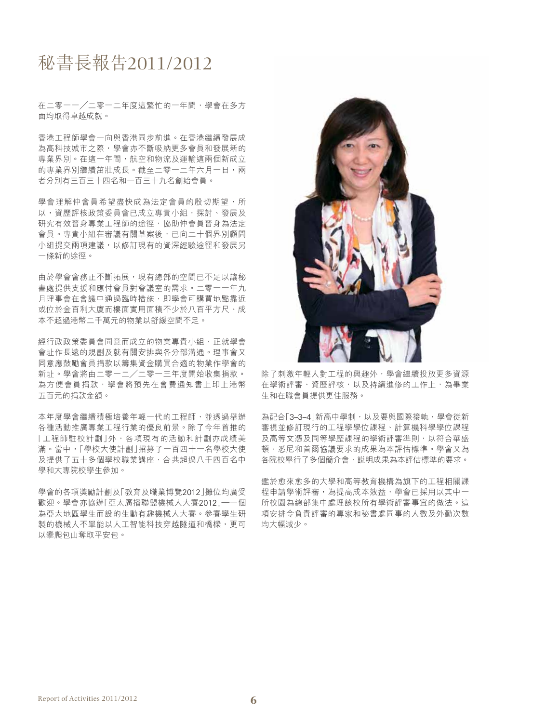## 秘書長報告2011/2012

在二零一一/二零一二年度這繁忙的一年間,學會在多方 面均取得卓越成就。

香港工程師學會一向與香港同步前進。在香港繼續發展成 為高科技城市之際,學會亦不斷吸納更多會員和發展新的 專業界別。在這一年間,航空和物流及運輸這兩個新成立 的專業界別繼續茁壯成長。截至二零一二年六月一日,兩 者分別有三百三十四名和一百三十九名創始會員。

學會理解仲會員希望盡快成為法定會員的殷切期望,所 以,資歷評核政策委員會已成立專責小組,探討、發展及 研究有效晉身專業工程師的途徑,協助仲會員晉身為法定 會員。專責小組在審議有關草案後,已向二十個界別顧問 小組提交兩項建議,以修訂現有的資深經驗途徑和發展另 一條新的途徑。

由於學會會務正不斷拓展,現有總部的空間已不足以讓秘 書處提供支援和應付會員對會議室的需求。二零一一年九 月理事會在會議中通過臨時措施,即學會可購買地點靠近 或位於金百利大廈而樓面實用面積不少於八百平方尺、成 本不超過港幣二千萬元的物業以舒緩空間不足。

經行政政策委員會同意而成立的物業專責小組,正就學會 會址作長遠的規劃及就有關安排與各分部溝通。理事會又 同意應鼓勵會員捐款以籌集資金購買合適的物業作學會的 新址。學會將由二零一二╱二零一三年度開始收集捐款。 為方便會員捐款,學會將預先在會費通知書上印上港幣 五百元的捐款金額。

本年度學會繼續積極培養年輕一代的工程師,並透過舉辦 各種活動推廣專業工程行業的優良前景。除了今年首推的 「工程師駐校計劃」外,各項現有的活動和計劃亦成績美 滿。當中,「學校大使計劃」招募了一百四十一名學校大使 及提供了五十多個學校職業講座,合共超過八千四百名中 學和大專院校學生參加。

學會的各項獎勵計劃及「教育及職業博覽2012」攤位均廣受 歡迎。學會亦協辦「亞太廣播聯盟機械人大賽2012」─一個 為亞太地區學生而設的生動有趣機械人大賽。參賽學生研 製的機械人不單能以人工智能科技穿越隊道和橋樑,更可 以攀爬包山奪取平安包。



除了刺激年輕人對工程的興趣外,學會繼續投放更多資源 在學術評審、資歷評核,以及持續進修的工作上,為畢業 生和在職會員提供更佳服務。

為配合「3-3-4」新高中學制,以及要與國際接軌,學會從新 審視並修訂現行的工程學學位課程、計算機科學學位課程 及高等文憑及同等學歷課程的學術評審準則,以符合華盛 頓、悉尼和首爾協議要求的成果為本評估標準。學會又為 各院校舉行了多個簡介會,說明成果為本評估標準的要求。

鑑於愈來愈多的大學和高等教育機構為旗下的工程相關課 程申請學術評審,為提高成本效益,學會已採用以其中一 所校園為總部集中處理該校所有學術評審事宜的做法。這 項安排令負責評審的專家和秘書處同事的人數及外勤次數 均大幅減少。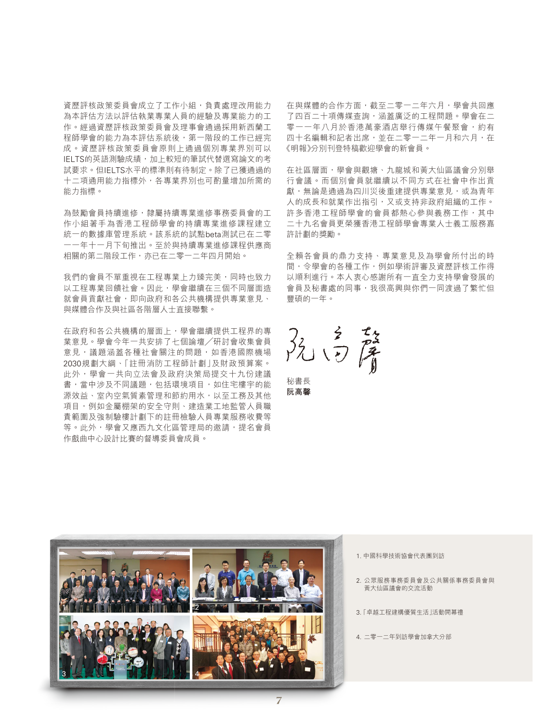資歷評核政策委員會成立了工作小組,負責處理改用能力 為本評估方法以評估執業專業人員的經驗及專業能力的工 作。經過資歷評核政策委員會及理事會通過採用新西蘭工 程師學會的能力為本評估系統後,第一階段的工作已經完 成。資歷評核政策委員會原則上通過個別專業界別可以 IELTS的英語測驗成績,加上較短的筆試代替選寫論文的考 試要求。但IELTS水平的標準則有待制定。除了已獲通過的 十二項通用能力指標外,各專業界別也可酌量增加所需的 能力指標。

為鼓勵會員持續進修,隸屬持續專業進修事務委員會的工 作小組著手為香港工程師學會的持續專業進修課程建立 統一的數據庫管理系統。該系統的試點beta測試已在二零 一一年十一月下旬推出。至於與持續專業進修課程供應商 相關的第二階段工作,亦已在二零一二年四月開始。

我們的會員不單重視在工程專業上力臻完美,同時也致力 以工程專業回饋社會。因此,學會繼續在三個不同層面造 就會員貢獻社會,即向政府和各公共機構提供專業意見、 與媒體合作及與社區各階層人士直接聯繫。

在政府和各公共機構的層面上,學會繼續提供工程界的專 業意見。學會今年一共安排了七個論壇╱研討會收集會員 意見,議題涵蓋各種社會關注的問題,如香港國際機場 2030規劃大綱、「註冊消防工程師計劃」及財政預算案。 此外,學會一共向立法會及政府決策局提交十九份建議 書,當中涉及不同議題,包括環境項目,如住宅樓宇的能 源效益、室內空氣質素管理和節約用水,以至工務及其他 項目,例如金屬棚架的安全守則、建造業工地監管人員職 責範圍及強制驗樓計劃下的註冊檢驗人員專業服務收費等 等。此外,學會又應西九文化區管理局的邀請,提名會員 作戲曲中心設計比賽的督導委員會成員。

在與媒體的合作方面,截至二零一二年六月,學會共回應 了四百二十項傳媒查詢,涵蓋廣泛的工程問題。學會在二 零一一年八月於香港萬豪酒店舉行傳媒午餐聚會,約有 四十名編輯和記者出席,並在二零一二年一月和六月,在 《明報》分別刊登特稿歡迎學會的新會員。

在社區層面,學會與觀塘、九龍城和黃大仙區議會分別舉 行會議。而個別會員就繼續以不同方式在社會中作出貢 獻,無論是通過為四川災後重建提供專業意見,或為青年 人的成長和就業作出指引,又或支持非政府組織的工作。 許多香港工程師學會的會員都熱心參與義務工作,其中 二十九名會員更榮獲香港工程師學會專業人士義工服務嘉 許計劃的獎勵。

全賴各會員的鼎力支持、專業意見及為學會所付出的時 間,令學會的各種工作,例如學術評審及資歷評核工作得 以順利進行。本人衷心感謝所有一直全力支持學會發展的 會員及秘書處的同事,我很高興與你們一同渡過了繁忙但 豐碩的一年。

多な

秘書長 **阮高馨**



- 1. 中國科學技術協會代表團到訪
- 2. 公眾服務事務委員會及公共關係事務委員會與 黃大仙區議會的交流活動
- 3. 「卓越工程建構優質生活」活動開幕禮
- 4. 二零一二年到訪學會加拿大分部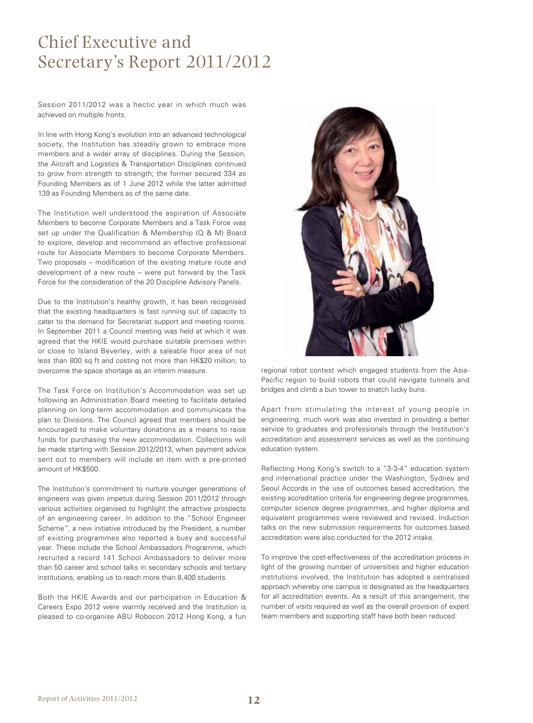## Chief Executive and Secretary's Report 2011/2012

Session 2011/2012 was a hectic year in which much was achieved on multiple fronts.

In line with Hong Kong's evolution into an advanced technological society, the Institution has steadily grown to embrace more members and a wider array of disciplines. During the Session, the Aircraft and Logistics & Transportation Disciplines continued to grow from strength to strength; the former secured 334 as Founding Members as of 1 June 2012 while the latter admitted 139 as Founding Members as of the same date.

The Institution well understood the aspiration of Associate Members to become Corporate Members and a Task Force was set up under the Qualification & Membership (Q & M) Board to explore, develop and recommend an effective professional route for Associate Members to become Corporate Members. Two proposals – modification of the existing mature route and development of a new route – were put forward by the Task Force for the consideration of the 20 Discipline Advisory Panels.

Due to the Institution's healthy growth, it has been recognised that the existing headquarters is fast running out of capacity to cater to the demand for Secretariat support and meeting rooms. In September 2011 a Council meeting was held at which it was agreed that the HKIE would purchase suitable premises within or close to Island Beverley, with a saleable floor area of not less than 800 sq ft and costing not more than HK\$20 million; to overcome the space shortage as an interim measure.

The Task Force on Institution's Accommodation was set up following an Administration Board meeting to facilitate detailed planning on long-term accommodation and communicate the plan to Divisions. The Council agreed that members should be encouraged to make voluntary donations as a means to raise funds for purchasing the new accommodation. Collections will be made starting with Session 2012/2013, when payment advice sent out to members will include an item with a pre-printed amount of HK\$500.

The Institution's commitment to nurture younger generations of engineers was given impetus during Session 2011/2012 through various activities organised to highlight the attractive prospects of an engineering career. In addition to the "School Engineer Scheme", a new initiative introduced by the President, a number of existing programmes also reported a busy and successful year. These include the School Ambassadors Programme, which recruited a record 141 School Ambassadors to deliver more than 50 career and school talks in secondary schools and tertiary institutions, enabling us to reach more than 8,400 students.

Both the HKIE Awards and our participation in Education & Careers Expo 2012 were warmly received and the Institution is pleased to co-organise ABU Robocon 2012 Hong Kong, a fun



regional robot contest which engaged students from the Asia-Pacific region to build robots that could navigate tunnels and bridges and climb a bun tower to snatch lucky buns.

Apart from stimulating the interest of young people in engineering, much work was also invested in providing a better service to graduates and professionals through the Institution's accreditation and assessment services as well as the continuing education system.

Reflecting Hong Kong's switch to a "3-3-4" education system and international practice under the Washington, Sydney and Seoul Accords in the use of outcomes based accreditation, the existing accreditation criteria for engineering degree programmes, computer science degree programmes, and higher diploma and equivalent programmes were reviewed and revised. Induction talks on the new submission requirements for outcomes based accreditation were also conducted for the 2012 intake.

To improve the cost-effectiveness of the accreditation process in light of the growing number of universities and higher education institutions involved, the Institution has adopted a centralised approach whereby one campus is designated as the headquarters for all accreditation events. As a result of this arrangement, the number of visits required as well as the overall provision of expert team members and supporting staff have both been reduced.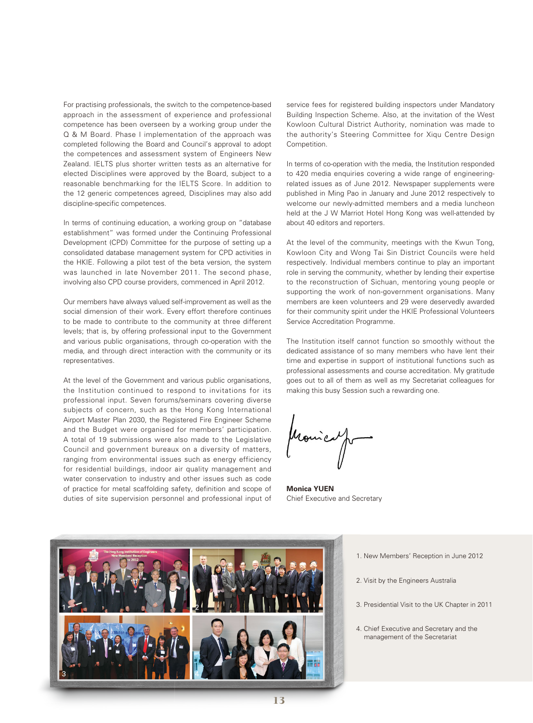For practising professionals, the switch to the competence-based approach in the assessment of experience and professional competence has been overseen by a working group under the Q & M Board. Phase I implementation of the approach was completed following the Board and Council's approval to adopt the competences and assessment system of Engineers New Zealand. IELTS plus shorter written tests as an alternative for elected Disciplines were approved by the Board, subject to a reasonable benchmarking for the IELTS Score. In addition to the 12 generic competences agreed, Disciplines may also add discipline-specific competences.

In terms of continuing education, a working group on "database establishment" was formed under the Continuing Professional Development (CPD) Committee for the purpose of setting up a consolidated database management system for CPD activities in the HKIE. Following a pilot test of the beta version, the system was launched in late November 2011. The second phase, involving also CPD course providers, commenced in April 2012.

Our members have always valued self-improvement as well as the social dimension of their work. Every effort therefore continues to be made to contribute to the community at three different levels; that is, by offering professional input to the Government and various public organisations, through co-operation with the media, and through direct interaction with the community or its representatives.

At the level of the Government and various public organisations, the Institution continued to respond to invitations for its professional input. Seven forums/seminars covering diverse subjects of concern, such as the Hong Kong International Airport Master Plan 2030, the Registered Fire Engineer Scheme and the Budget were organised for members' participation. A total of 19 submissions were also made to the Legislative Council and government bureaux on a diversity of matters, ranging from environmental issues such as energy efficiency for residential buildings, indoor air quality management and water conservation to industry and other issues such as code of practice for metal scaffolding safety, definition and scope of duties of site supervision personnel and professional input of

service fees for registered building inspectors under Mandatory Building Inspection Scheme. Also, at the invitation of the West Kowloon Cultural District Authority, nomination was made to the authority's Steering Committee for Xiqu Centre Design Competition.

In terms of co-operation with the media, the Institution responded to 420 media enquiries covering a wide range of engineeringrelated issues as of June 2012. Newspaper supplements were published in Ming Pao in January and June 2012 respectively to welcome our newly-admitted members and a media luncheon held at the J W Marriot Hotel Hong Kong was well-attended by about 40 editors and reporters.

At the level of the community, meetings with the Kwun Tong, Kowloon City and Wong Tai Sin District Councils were held respectively. Individual members continue to play an important role in serving the community, whether by lending their expertise to the reconstruction of Sichuan, mentoring young people or supporting the work of non-government organisations. Many members are keen volunteers and 29 were deservedly awarded for their community spirit under the HKIE Professional Volunteers Service Accreditation Programme.

The Institution itself cannot function so smoothly without the dedicated assistance of so many members who have lent their time and expertise in support of institutional functions such as professional assessments and course accreditation. My gratitude goes out to all of them as well as my Secretariat colleagues for making this busy Session such a rewarding one.

**Monica YUEN** Chief Executive and Secretary



- 1. New Members' Reception in June 2012
- 2. Visit by the Engineers Australia
- 3. Presidential Visit to the UK Chapter in 2011
- 4. Chief Executive and Secretary and the management of the Secretariat